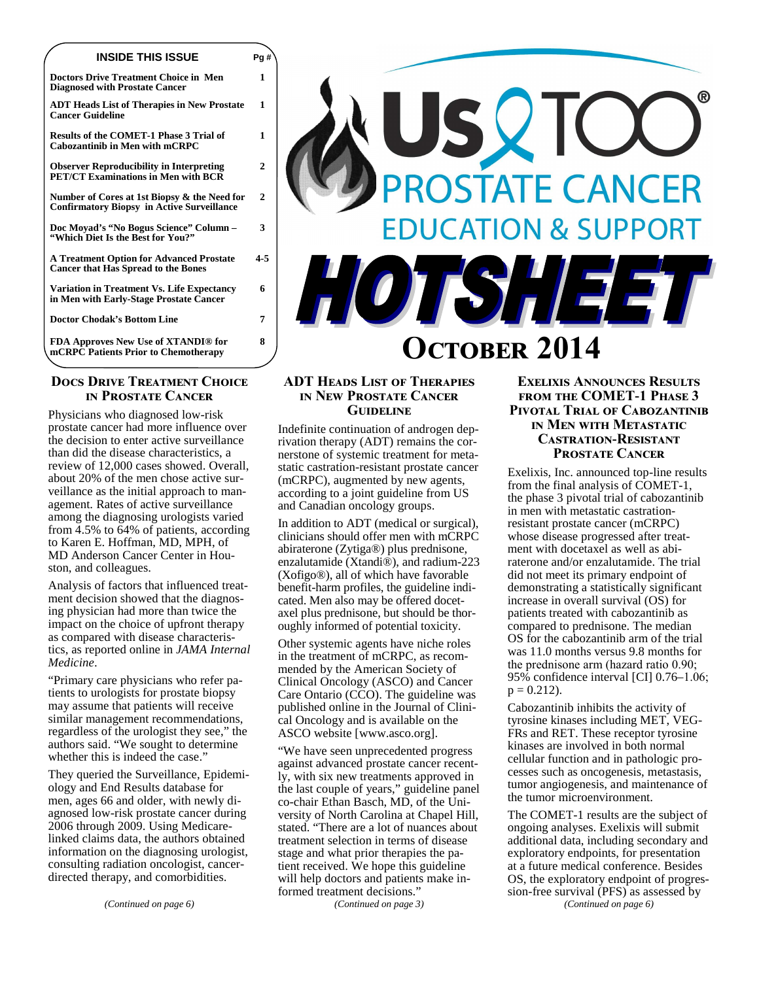# **INSIDE THIS ISSUE Pg #**

**Doctors Drive Treatment Choice in Men Diagnosed with Prostate Cancer** 

**1** 

**1** 

**1** 

**2** 

**2** 

**3** 

**4-5** 

**6** 

**8** 

**ADT Heads List of Therapies in New Prostate Cancer Guideline** 

**Results of the COMET-1 Phase 3 Trial of Cabozantinib in Men with mCRPC** 

**Observer Reproducibility in Interpreting PET/CT Examinations in Men with BCR** 

**Number of Cores at 1st Biopsy & the Need for Confirmatory Biopsy in Active Surveillance** 

**Doc Moyad's "No Bogus Science" Column – "Which Diet Is the Best for You?"** 

**A Treatment Option for Advanced Prostate Cancer that Has Spread to the Bones** 

**Variation in Treatment Vs. Life Expectancy in Men with Early-Stage Prostate Cancer** 

**Doctor Chodak's Bottom Line 7** 

**FDA Approves New Use of XTANDI® for mCRPC Patients Prior to Chemotherapy** 

# **DOCS DRIVE TREATMENT CHOICE IN PROSTATE CANCER**

Physicians who diagnosed low-risk prostate cancer had more influence over the decision to enter active surveillance than did the disease characteristics, a review of 12,000 cases showed. Overall, about 20% of the men chose active surveillance as the initial approach to management. Rates of active surveillance among the diagnosing urologists varied from 4.5% to 64% of patients, according to Karen E. Hoffman, MD, MPH, of MD Anderson Cancer Center in Houston, and colleagues.

Analysis of factors that influenced treatment decision showed that the diagnosing physician had more than twice the impact on the choice of upfront therapy as compared with disease characteristics, as reported online in *JAMA Internal Medicine*.

"Primary care physicians who refer patients to urologists for prostate biopsy may assume that patients will receive similar management recommendations, regardless of the urologist they see," the authors said. "We sought to determine whether this is indeed the case."

They queried the Surveillance, Epidemiology and End Results database for men, ages 66 and older, with newly diagnosed low-risk prostate cancer during 2006 through 2009. Using Medicarelinked claims data, the authors obtained information on the diagnosing urologist, consulting radiation oncologist, cancerdirected therapy, and comorbidities.

*(Continued on page 6)* 



# **OCTOBER 2014**

# **ADT HEADS LIST OF THERAPIES IN NEW PROSTATE CANCER GUIDELINE**

Indefinite continuation of androgen deprivation therapy (ADT) remains the cornerstone of systemic treatment for metastatic castration-resistant prostate cancer (mCRPC), augmented by new agents, according to a joint guideline from US and Canadian oncology groups.

In addition to ADT (medical or surgical), clinicians should offer men with mCRPC abiraterone (Zytiga®) plus prednisone, enzalutamide (Xtandi®), and radium-223 (Xofigo®), all of which have favorable benefit-harm profiles, the guideline indicated. Men also may be offered docetaxel plus prednisone, but should be thoroughly informed of potential toxicity.

Other systemic agents have niche roles in the treatment of mCRPC, as recommended by the American Society of Clinical Oncology (ASCO) and Cancer Care Ontario (CCO). The guideline was published online in the Journal of Clinical Oncology and is available on the ASCO website [www.asco.org].

"We have seen unprecedented progress against advanced prostate cancer recently, with six new treatments approved in the last couple of years," guideline panel co-chair Ethan Basch, MD, of the University of North Carolina at Chapel Hill, stated. "There are a lot of nuances about treatment selection in terms of disease stage and what prior therapies the patient received. We hope this guideline will help doctors and patients make informed treatment decisions."

*(Continued on page 3)* 

# **EXELIXIS ANNOUNCES RESULTS FROM THE COMET-1 PHASE 3 PIVOTAL TRIAL OF CABOZANTINIB IN MEN WITH METASTATIC CASTRATION-RESISTANT PROSTATE CANCER**

Exelixis, Inc. announced top-line results from the final analysis of COMET-1, the phase 3 pivotal trial of cabozantinib in men with metastatic castrationresistant prostate cancer (mCRPC) whose disease progressed after treatment with docetaxel as well as abiraterone and/or enzalutamide. The trial did not meet its primary endpoint of demonstrating a statistically significant increase in overall survival (OS) for patients treated with cabozantinib as compared to prednisone. The median OS for the cabozantinib arm of the trial was 11.0 months versus 9.8 months for the prednisone arm (hazard ratio 0.90; 95% confidence interval [CI] 0.76–1.06;  $p = 0.212$ .

Cabozantinib inhibits the activity of tyrosine kinases including MET, VEG-FRs and RET. These receptor tyrosine kinases are involved in both normal cellular function and in pathologic processes such as oncogenesis, metastasis, tumor angiogenesis, and maintenance of the tumor microenvironment.

The COMET-1 results are the subject of ongoing analyses. Exelixis will submit additional data, including secondary and exploratory endpoints, for presentation at a future medical conference. Besides OS, the exploratory endpoint of progression-free survival (PFS) as assessed by

*(Continued on page 6)*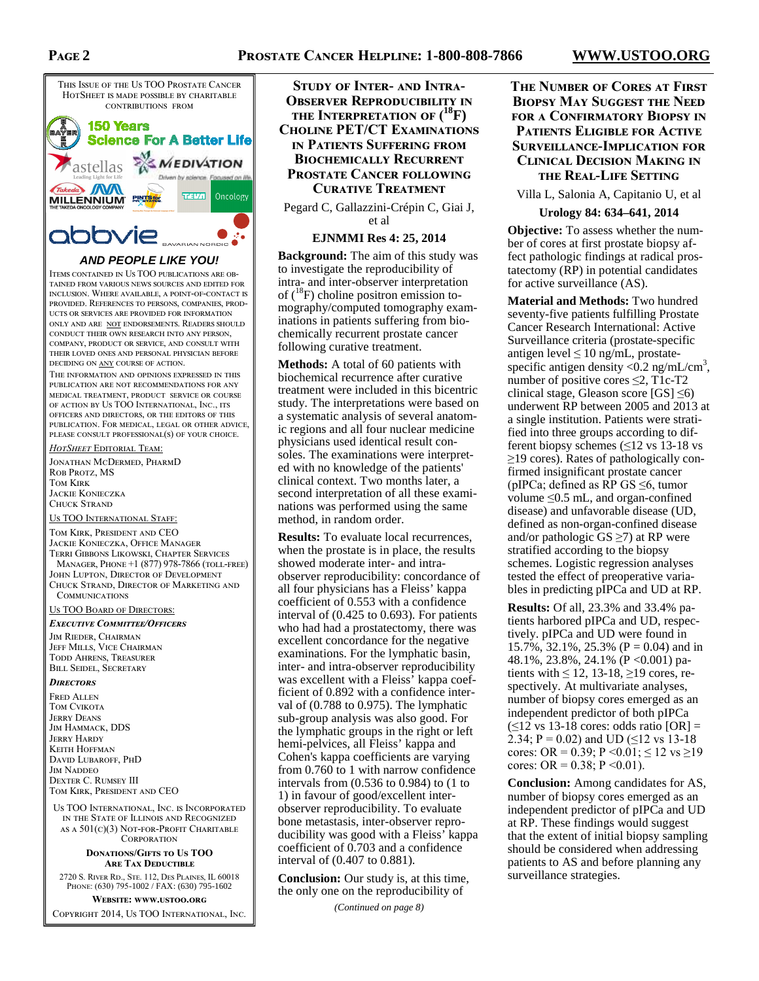# **PAGE 2**



# **AND PEOPLE LIKE YOU!**

ITEMS CONTAINED IN US TOO PUBLICATIONS ARE OB-TAINED FROM VARIOUS NEWS SOURCES AND EDITED FOR INCLUSION. WHERE AVAILABLE, A POINT-OF-CONTACT IS PROVIDED. REFERENCES TO PERSONS, COMPANIES, PROD-UCTS OR SERVICES ARE PROVIDED FOR INFORMATION ONLY AND ARE NOT ENDORSEMENTS. READERS SHOULD CONDUCT THEIR OWN RESEARCH INTO ANY PERSON. COMPANY, PRODUCT OR SERVICE, AND CONSULT WITH THEIR LOVED ONES AND PERSONAL PHYSICIAN BEFORE DECIDING ON  $\underline{\text{ANY}}$  COURSE OF ACTION.

THE INFORMATION AND OPINIONS EXPRESSED IN THIS PUBLICATION ARE NOT RECOMMENDATIONS FOR ANY MEDICAL TREATMENT, PRODUCT SERVICE OR COURSE OF ACTION BY US TOO INTERNATIONAL, INC., ITS OFFICERS AND DIRECTORS, OR THE EDITORS OF THIS PUBLICATION. FOR MEDICAL, LEGAL OR OTHER ADVICE, PLEASE CONSULT PROFESSIONAL(S) OF YOUR CHOICE.

#### *HotSheet* Editorial Team:

JONATHAN MCDERMED, PHARMD ROB PROTZ, MS TOM KIRK JACKIE KONIECZKA CHUCK STRAND

US TOO INTERNATIONAL STAFF.

TOM KIRK, PRESIDENT AND CEO JACKIE KONIECZKA, OFFICE MANAGER TERRI GIBBONS LIKOWSKI, CHAPTER SERVICES MANAGER, PHONE +1 (877) 978-7866 (TOLL-FREE) JOHN LUPTON, DIRECTOR OF DEVELOPMENT CHUCK STRAND, DIRECTOR OF MARKETING AND COMMUNICATIONS

US TOO BOARD OF DIRECTORS:

#### Executive Committee/Officers

JIM RIEDER, CHAIRMAN JEFF MILLS, VICE CHAIRMAN TODD AHRENS, TREASURER BILL SEIDEL, SECRETARY

#### **DIRECTORS**

FRED ALLEN TOM CVIKOTA **JERRY DEANS** JIM HAMMACK, DDS **JERRY HARDY** KEITH HOFFMAN DAVID LUBAROFF, PHD **IM NADDEO** DEXTER C. RUMSEY III TOM KIRK, PRESIDENT AND CEO

US TOO INTERNATIONAL, INC. IS INCORPORATED IN THE STATE OF ILLINOIS AND RECOGNIZED AS A  $501(c)(3)$  NOT-FOR-PROFIT CHARITABLE CORPORATION

#### **DONATIONS/GIFTS TO US TOO ARE TAX DEDUCTIBLE**

2720 S. RIVER RD., STE. 112, DES PLAINES, IL 60018 PHONE: (630) 795-1002 / FAX: (630) 795-1602

**WEBSITE: WWW.USTOO.ORG** COPYRIGHT 2014, US TOO INTERNATIONAL, INC.

**STUDY OF INTER- AND INTRA-OBSERVER REPRODUCIBILITY IN** THE INTERPRETATION OF  $(^{18}F)$ **CHOLINE PET/CT EXAMINATIONS IN PATIENTS SUFFERING FROM BIOCHEMICALLY RECURRENT PROSTATE CANCER FOLLOWING CURATIVE TREATMENT** 

Pegard C, Gallazzini-Crépin C, Giai J, et al

**EJNMMI Res 4: 25, 2014** 

**Background:** The aim of this study was to investigate the reproducibility of intra- and inter-observer interpretation of  $(^{18}F)$  choline positron emission tomography/computed tomography examinations in patients suffering from biochemically recurrent prostate cancer following curative treatment.

**Methods:** A total of 60 patients with biochemical recurrence after curative treatment were included in this bicentric study. The interpretations were based on a systematic analysis of several anatomic regions and all four nuclear medicine physicians used identical result consoles. The examinations were interpreted with no knowledge of the patients' clinical context. Two months later, a second interpretation of all these examinations was performed using the same method, in random order.

**Results:** To evaluate local recurrences, when the prostate is in place, the results showed moderate inter- and intraobserver reproducibility: concordance of all four physicians has a Fleiss' kappa coefficient of 0.553 with a confidence interval of (0.425 to 0.693). For patients who had had a prostatectomy, there was excellent concordance for the negative examinations. For the lymphatic basin, inter- and intra-observer reproducibility was excellent with a Fleiss' kappa coefficient of 0.892 with a confidence interval of (0.788 to 0.975). The lymphatic sub-group analysis was also good. For the lymphatic groups in the right or left hemi-pelvices, all Fleiss' kappa and Cohen's kappa coefficients are varying from 0.760 to 1 with narrow confidence intervals from (0.536 to 0.984) to (1 to 1) in favour of good/excellent interobserver reproducibility. To evaluate bone metastasis, inter-observer reproducibility was good with a Fleiss' kappa coefficient of 0.703 and a confidence interval of (0.407 to 0.881).

**Conclusion:** Our study is, at this time, the only one on the reproducibility of

*(Continued on page 8)* 

# **THE NUMBER OF CORES AT FIRST BIOPSY MAY SUGGEST THE NEED FOR A CONFIRMATORY BIOPSY IN PATIENTS ELIGIBLE FOR ACTIVE** SURVEILLANCE-IMPLICATION FOR **CLINICAL DECISION MAKING IN THE REAL-LIFE SETTING**

Villa L, Salonia A, Capitanio U, et al

#### **Urology 84: 634–641, 2014**

**Objective:** To assess whether the number of cores at first prostate biopsy affect pathologic findings at radical prostatectomy (RP) in potential candidates for active surveillance (AS).

**Material and Methods:** Two hundred seventy-five patients fulfilling Prostate Cancer Research International: Active Surveillance criteria (prostate-specific antigen level  $\leq 10$  ng/mL, prostatespecific antigen density  $< 0.2$  ng/mL/cm<sup>3</sup>, number of positive cores  $\leq$ 2, T1c-T2 clinical stage, Gleason score  $[GS] \leq 6$ ) underwent RP between 2005 and 2013 at a single institution. Patients were stratified into three groups according to different biopsy schemes (≤12 vs 13-18 vs ≥19 cores). Rates of pathologically confirmed insignificant prostate cancer (pIPCa; defined as RP GS  $\leq$ 6, tumor volume ≤0.5 mL, and organ-confined disease) and unfavorable disease (UD, defined as non-organ-confined disease and/or pathologic  $GS \ge 7$ ) at RP were stratified according to the biopsy schemes. Logistic regression analyses tested the effect of preoperative variables in predicting pIPCa and UD at RP.

**Results:** Of all, 23.3% and 33.4% patients harbored pIPCa and UD, respectively. pIPCa and UD were found in 15.7%, 32.1%, 25.3% (P = 0.04) and in 48.1%, 23.8%, 24.1% (P <0.001) patients with  $\leq 12$ , 13-18,  $\geq 19$  cores, respectively. At multivariate analyses, number of biopsy cores emerged as an independent predictor of both pIPCa  $(\leq 12 \text{ vs } 13-18 \text{ cores: odds ratio } [OR] =$ 2.34; P = 0.02) and UD ( $\leq$ 12 vs 13-18) cores: OR = 0.39; P < 0.01;  $\leq 12$  vs  $\geq 19$ cores: OR =  $0.38$ ; P < 0.01).

**Conclusion:** Among candidates for AS, number of biopsy cores emerged as an independent predictor of pIPCa and UD at RP. These findings would suggest that the extent of initial biopsy sampling should be considered when addressing patients to AS and before planning any surveillance strategies.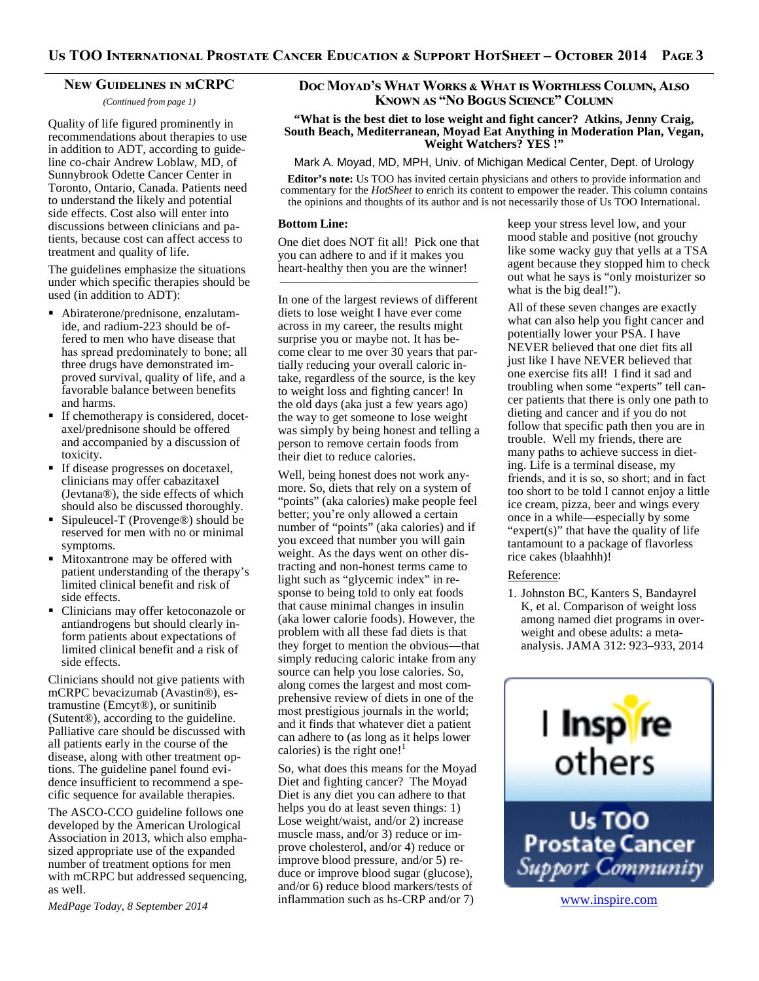## **NEW GUIDELINES IN MCRPC**

*(Continued from page 1)* 

Quality of life figured prominently in recommendations about therapies to use in addition to ADT, according to guideline co-chair Andrew Loblaw, MD, of Sunnybrook Odette Cancer Center in Toronto, Ontario, Canada. Patients need to understand the likely and potential side effects. Cost also will enter into discussions between clinicians and patients, because cost can affect access to treatment and quality of life.

The guidelines emphasize the situations under which specific therapies should be used (in addition to ADT):

- Abiraterone/prednisone, enzalutamide, and radium-223 should be offered to men who have disease that has spread predominately to bone; all three drugs have demonstrated improved survival, quality of life, and a favorable balance between benefits and harms.
- If chemotherapy is considered, docetaxel/prednisone should be offered and accompanied by a discussion of toxicity.
- If disease progresses on docetaxel, clinicians may offer cabazitaxel (Jevtana®), the side effects of which should also be discussed thoroughly.
- Sipuleucel-T (Provenge<sup>®</sup>) should be reserved for men with no or minimal symptoms.
- **Mitoxantrone may be offered with** patient understanding of the therapy's limited clinical benefit and risk of side effects.
- Clinicians may offer ketoconazole or antiandrogens but should clearly inform patients about expectations of limited clinical benefit and a risk of side effects.

Clinicians should not give patients with mCRPC bevacizumab (Avastin®), estramustine (Emcyt®), or sunitinib (Sutent®), according to the guideline. Palliative care should be discussed with all patients early in the course of the disease, along with other treatment options. The guideline panel found evidence insufficient to recommend a specific sequence for available therapies.

The ASCO-CCO guideline follows one developed by the American Urological Association in 2013, which also emphasized appropriate use of the expanded number of treatment options for men with mCRPC but addressed sequencing, as well.

*MedPage Today, 8 September 2014* 

# Doc Moyad's What Works & What is Worthless Column, Also **KNOWN AS "NO BOGUS SCIENCE" COLUMN**

**"What is the best diet to lose weight and fight cancer? Atkins, Jenny Craig, South Beach, Mediterranean, Moyad Eat Anything in Moderation Plan, Vegan, Weight Watchers? YES !"** 

Mark A. Moyad, MD, MPH, Univ. of Michigan Medical Center, Dept. of Urology

**Editor's note:** Us TOO has invited certain physicians and others to provide information and commentary for the *HotSheet* to enrich its content to empower the reader. This column contains the opinions and thoughts of its author and is not necessarily those of Us TOO International.

#### **Bottom Line:**

One diet does NOT fit all! Pick one that you can adhere to and if it makes you heart-healthy then you are the winner!

————————————————

In one of the largest reviews of different diets to lose weight I have ever come across in my career, the results might surprise you or maybe not. It has become clear to me over 30 years that partially reducing your overall caloric intake, regardless of the source, is the key to weight loss and fighting cancer! In the old days (aka just a few years ago) the way to get someone to lose weight was simply by being honest and telling a person to remove certain foods from their diet to reduce calories.

Well, being honest does not work anymore. So, diets that rely on a system of "points" (aka calories) make people feel better; you're only allowed a certain number of "points" (aka calories) and if you exceed that number you will gain weight. As the days went on other distracting and non-honest terms came to light such as "glycemic index" in response to being told to only eat foods that cause minimal changes in insulin (aka lower calorie foods). However, the problem with all these fad diets is that they forget to mention the obvious—that simply reducing caloric intake from any source can help you lose calories. So, along comes the largest and most comprehensive review of diets in one of the most prestigious journals in the world; and it finds that whatever diet a patient can adhere to (as long as it helps lower calories) is the right one!<sup>1</sup>

So, what does this means for the Moyad Diet and fighting cancer? The Moyad Diet is any diet you can adhere to that helps you do at least seven things: 1) Lose weight/waist, and/or 2) increase muscle mass, and/or 3) reduce or improve cholesterol, and/or 4) reduce or improve blood pressure, and/or 5) reduce or improve blood sugar (glucose), and/or 6) reduce blood markers/tests of inflammation such as hs-CRP and/or 7)

keep your stress level low, and your mood stable and positive (not grouchy like some wacky guy that yells at a TSA agent because they stopped him to check out what he says is "only moisturizer so what is the big deal!").

All of these seven changes are exactly what can also help you fight cancer and potentially lower your PSA. I have NEVER believed that one diet fits all just like I have NEVER believed that one exercise fits all! I find it sad and troubling when some "experts" tell cancer patients that there is only one path to dieting and cancer and if you do not follow that specific path then you are in trouble. Well my friends, there are many paths to achieve success in dieting. Life is a terminal disease, my friends, and it is so, so short; and in fact too short to be told I cannot enjoy a little ice cream, pizza, beer and wings every once in a while—especially by some "expert(s)" that have the quality of life tantamount to a package of flavorless rice cakes (blaahhh)!

#### Reference:

1. Johnston BC, Kanters S, Bandayrel K, et al. Comparison of weight loss among named diet programs in overweight and obese adults: a metaanalysis. JAMA 312: 923–933, 2014

![](_page_2_Picture_27.jpeg)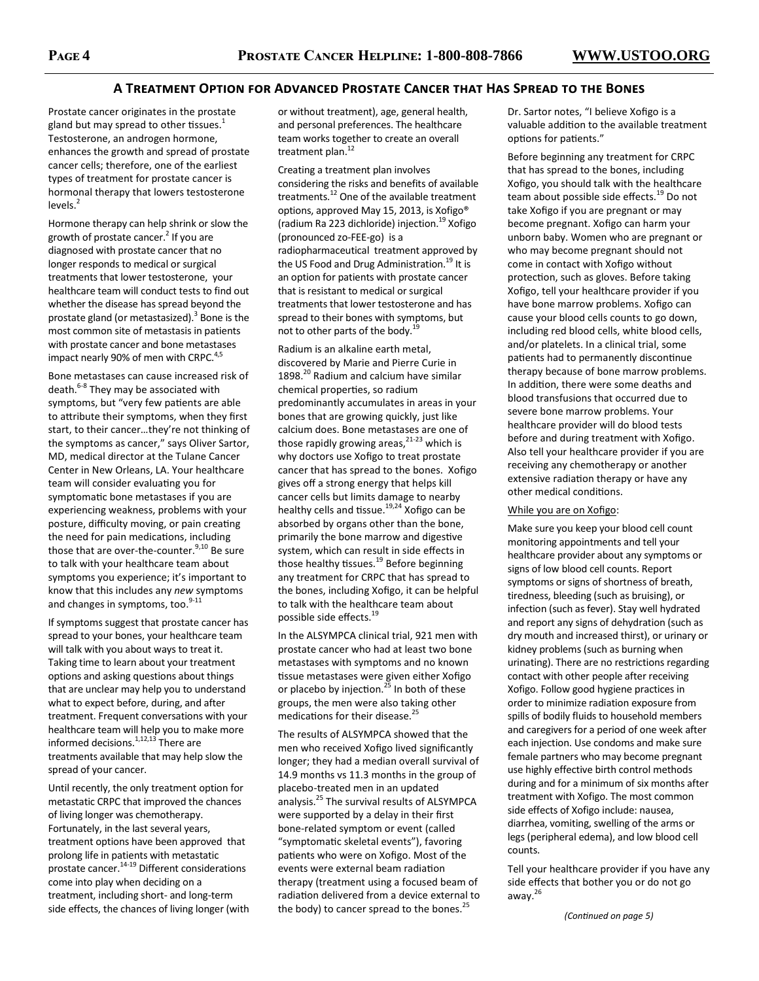# **A TREATMENT OPTION FOR ADVANCED PROSTATE CANCER THAT HAS SPREAD TO THE BONES**

Prostate cancer originates in the prostate gland but may spread to other tissues. $1$ Testosterone, an androgen hormone, enhances the growth and spread of prostate cancer cells; therefore, one of the earliest types of treatment for prostate cancer is hormonal therapy that lowers testosterone levels. $<sup>2</sup>$ </sup>

Hormone therapy can help shrink or slow the growth of prostate cancer.<sup>2</sup> If you are diagnosed with prostate cancer that no longer responds to medical or surgical treatments that lower testosterone, your healthcare team will conduct tests to find out whether the disease has spread beyond the prostate gland (or metastasized).<sup>3</sup> Bone is the most common site of metastasis in patients with prostate cancer and bone metastases impact nearly 90% of men with CRPC.<sup>4,5</sup>

Bone metastases can cause increased risk of death.<sup>6-8</sup> They may be associated with symptoms, but "very few patients are able to attribute their symptoms, when they first start, to their cancer…they're not thinking of the symptoms as cancer," says Oliver Sartor, MD, medical director at the Tulane Cancer Center in New Orleans, LA. Your healthcare team will consider evaluating you for symptomatic bone metastases if you are experiencing weakness, problems with your posture, difficulty moving, or pain creating the need for pain medications, including those that are over-the-counter.<sup>9,10</sup> Be sure to talk with your healthcare team about symptoms you experience; it's important to know that this includes any *new* symptoms and changes in symptoms, too.<sup>9-11</sup>

If symptoms suggest that prostate cancer has spread to your bones, your healthcare team will talk with you about ways to treat it. Taking time to learn about your treatment options and asking questions about things that are unclear may help you to understand what to expect before, during, and after treatment. Frequent conversations with your healthcare team will help you to make more informed decisions.<sup>1,12,13</sup> There are treatments available that may help slow the spread of your cancer.

Until recently, the only treatment option for metastatic CRPC that improved the chances of living longer was chemotherapy. Fortunately, in the last several years, treatment options have been approved that prolong life in patients with metastatic prostate cancer. $14-19}$  Different considerations come into play when deciding on a treatment, including short- and long-term side effects, the chances of living longer (with or without treatment), age, general health, and personal preferences. The healthcare team works together to create an overall treatment plan.<sup>12</sup>

Creating a treatment plan involves considering the risks and benefits of available treatments.<sup>12</sup> One of the available treatment options, approved May 15, 2013, is Xofigo® (radium Ra 223 dichloride) injection.<sup>19</sup> Xofigo (pronounced zo-FEE-go) is a radiopharmaceutical treatment approved by the US Food and Drug Administration.<sup>19</sup> It is an option for patients with prostate cancer that is resistant to medical or surgical treatments that lower testosterone and has spread to their bones with symptoms, but not to other parts of the body.<sup>19</sup>

Radium is an alkaline earth metal, discovered by Marie and Pierre Curie in 1898.<sup>20</sup> Radium and calcium have similar chemical properties, so radium predominantly accumulates in areas in your bones that are growing quickly, just like calcium does. Bone metastases are one of those rapidly growing areas, $21-23$  which is why doctors use Xofigo to treat prostate cancer that has spread to the bones. Xofigo gives off a strong energy that helps kill cancer cells but limits damage to nearby healthy cells and tissue.<sup>19,24</sup> Xofigo can be absorbed by organs other than the bone, primarily the bone marrow and digestive system, which can result in side effects in those healthy tissues.<sup>19</sup> Before beginning any treatment for CRPC that has spread to the bones, including Xofigo, it can be helpful to talk with the healthcare team about possible side effects.<sup>19</sup>

In the ALSYMPCA clinical trial, 921 men with prostate cancer who had at least two bone metastases with symptoms and no known tissue metastases were given either Xofigo or placebo by injection.<sup>25</sup> In both of these groups, the men were also taking other medications for their disease.<sup>25</sup>

The results of ALSYMPCA showed that the men who received Xofigo lived significantly longer; they had a median overall survival of 14.9 months vs 11.3 months in the group of placebo-treated men in an updated analysis.<sup>25</sup> The survival results of ALSYMPCA were supported by a delay in their first bone-related symptom or event (called "symptomatic skeletal events"), favoring patients who were on Xofigo. Most of the events were external beam radiation therapy (treatment using a focused beam of radiation delivered from a device external to the body) to cancer spread to the bones.<sup>25</sup>

Dr. Sartor notes, "I believe Xofigo is a valuable addition to the available treatment options for patients."

Before beginning any treatment for CRPC that has spread to the bones, including Xofigo, you should talk with the healthcare team about possible side effects.<sup>19</sup> Do not take Xofigo if you are pregnant or may become pregnant. Xofigo can harm your unborn baby. Women who are pregnant or who may become pregnant should not come in contact with Xofigo without protection, such as gloves. Before taking Xofigo, tell your healthcare provider if you have bone marrow problems. Xofigo can cause your blood cells counts to go down, including red blood cells, white blood cells, and/or platelets. In a clinical trial, some patients had to permanently discontinue therapy because of bone marrow problems. In addition, there were some deaths and blood transfusions that occurred due to severe bone marrow problems. Your healthcare provider will do blood tests before and during treatment with Xofigo. Also tell your healthcare provider if you are receiving any chemotherapy or another extensive radiation therapy or have any other medical conditions.

#### While you are on Xofigo:

Make sure you keep your blood cell count monitoring appointments and tell your healthcare provider about any symptoms or signs of low blood cell counts. Report symptoms or signs of shortness of breath, tiredness, bleeding (such as bruising), or infection (such as fever). Stay well hydrated and report any signs of dehydration (such as dry mouth and increased thirst), or urinary or kidney problems (such as burning when urinating). There are no restrictions regarding contact with other people after receiving Xofigo. Follow good hygiene practices in order to minimize radiation exposure from spills of bodily fluids to household members and caregivers for a period of one week after each injection. Use condoms and make sure female partners who may become pregnant use highly effective birth control methods during and for a minimum of six months after treatment with Xofigo. The most common side effects of Xofigo include: nausea, diarrhea, vomiting, swelling of the arms or legs (peripheral edema), and low blood cell counts.

Tell your healthcare provider if you have any side effects that bother you or do not go away.<sup>26</sup>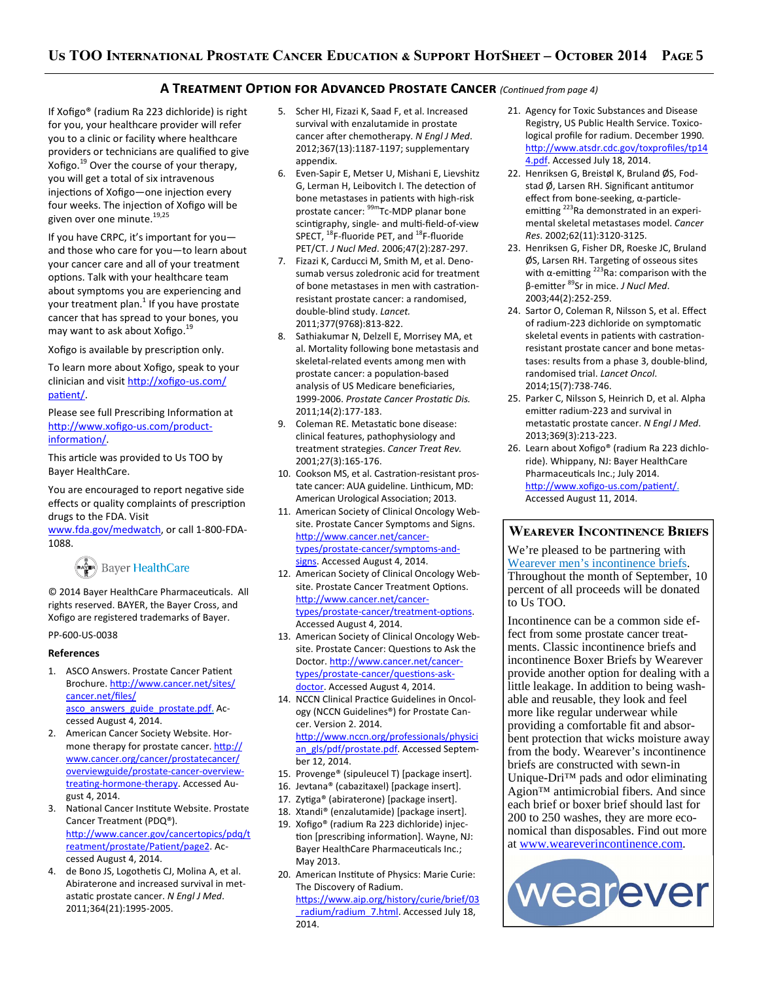# **A TREATMENT OPTION FOR ADVANCED PROSTATE CANCER** (Continued from page 4)

If Xofigo® (radium Ra 223 dichloride) is right for you, your healthcare provider will refer you to a clinic or facility where healthcare providers or technicians are qualified to give Xofigo. $^{19}$  Over the course of your therapy, you will get a total of six intravenous injections of Xofigo—one injection every four weeks. The injection of Xofigo will be given over one minute.<sup>19,25</sup>

If you have CRPC, it's important for you and those who care for you—to learn about your cancer care and all of your treatment options. Talk with your healthcare team about symptoms you are experiencing and your treatment plan.<sup>1</sup> If you have prostate cancer that has spread to your bones, you may want to ask about Xofigo.<sup>19</sup>

Xofigo is available by prescription only.

To learn more about Xofigo, speak to your clinician and visit http://xofigo-us.com/ patient/.

Please see full Prescribing Information at http://www.xofigo-us.com/productinformation/.

This article was provided to Us TOO by Bayer HealthCare.

You are encouraged to report negative side effects or quality complaints of prescription drugs to the FDA. Visit

www.fda.gov/medwatch, or call 1-800-FDA-1088.

# (مَعِيَّة) Bayer HealthCare

© 2014 Bayer HealthCare Pharmaceuticals. All rights reserved. BAYER, the Bayer Cross, and Xofigo are registered trademarks of Bayer.

## PP-600-US-0038

## **References**

- 1. ASCO Answers. Prostate Cancer Patient Brochure. http://www.cancer.net/sites/ cancer.net/files/ asco\_answers\_guide\_prostate.pdf. Accessed August 4, 2014.
- 2. American Cancer Society Website. Hormone therapy for prostate cancer. http:// www.cancer.org/cancer/prostatecancer/ overviewguide/prostate-cancer-overviewtreating-hormone-therapy. Accessed August 4, 2014.
- 3. National Cancer Institute Website. Prostate Cancer Treatment (PDQ®). http://www.cancer.gov/cancertopics/pdq/t reatment/prostate/Patient/page2. Accessed August 4, 2014.
- 4. de Bono JS, Logothetis CJ, Molina A, et al. Abiraterone and increased survival in metastatic prostate cancer. *N Engl J Med.* 2011;364(21):1995-2005.
- 5. Scher HI, Fizazi K, Saad F, et al. Increased survival with enzalutamide in prostate cancer after chemotherapy. *N Engl J Med*. 2012;367(13):1187-1197; supplementary appendix.
- 6. Even-Sapir E, Metser U, Mishani E, Lievshitz G, Lerman H, Leibovitch I. The detection of bone metastases in patients with high-risk prostate cancer: <sup>99m</sup>Tc-MDP planar bone scintigraphy, single- and multi-field-of-view SPECT, <sup>18</sup>F-fluoride PET, and <sup>18</sup>F-fluoride PET/CT. *J Nucl Med*. 2006;47(2):287-297.
- 7. Fizazi K, Carducci M, Smith M, et al. Denosumab versus zoledronic acid for treatment of bone metastases in men with castrationresistant prostate cancer: a randomised, double-blind study. *Lancet.*  2011;377(9768):813-822.
- Sathiakumar N, Delzell E, Morrisey MA, et al. Mortality following bone metastasis and skeletal-related events among men with prostate cancer: a population-based analysis of US Medicare beneficiaries, 1999-2006. Prostate Cancer Prostatic Dis. 2011;14(2):177-183.
- 9. Coleman RE. Metastatic bone disease: clinical features, pathophysiology and treatment strategies. *Cancer Treat Rev.*  2001;27(3):165-176.
- 10. Cookson MS, et al. Castration-resistant prostate cancer: AUA guideline. Linthicum, MD: American Urological Association; 2013.
- 11. American Society of Clinical Oncology Website. Prostate Cancer Symptoms and Signs. http://www.cancer.net/cancertypes/prostate-cancer/symptoms-andsigns. Accessed August 4, 2014.
- 12. American Society of Clinical Oncology Website. Prostate Cancer Treatment Options. http://www.cancer.net/cancertypes/prostate-cancer/treatment-options. Accessed August 4, 2014.
- 13. American Society of Clinical Oncology Website. Prostate Cancer: Questions to Ask the Doctor. http://www.cancer.net/cancertypes/prostate-cancer/questions-askdoctor. Accessed August 4, 2014.
- 14. NCCN Clinical Practice Guidelines in Oncology (NCCN Guidelines®) for Prostate Cancer. Version 2. 2014. http://www.nccn.org/professionals/physici an\_gls/pdf/prostate.pdf. Accessed September 12, 2014.
- 15. Provenge® (sipuleucel T) [package insert].
- 16. Jevtana® (cabazitaxel) [package insert].
- 17. Zytiga® (abiraterone) [package insert].
- 18. Xtandi® (enzalutamide) [package insert].
- 19. Xofigo® (radium Ra 223 dichloride) injection [prescribing information]. Wayne, NJ: Bayer HealthCare Pharmaceuticals Inc.; May 2013.
- 20. American Institute of Physics: Marie Curie: The Discovery of Radium. https://www.aip.org/history/curie/brief/03 \_radium/radium\_7.html. Accessed July 18, 2014.
- 21. Agency for Toxic Substances and Disease Registry, US Public Health Service. Toxicological profile for radium. December 1990. http://www.atsdr.cdc.gov/toxprofiles/tp14 4.pdf. Accessed July 18, 2014.
- 22. Henriksen G, Breistøl K, Bruland ØS, Fodstad  $\varnothing$ , Larsen RH. Significant antitumor effect from bone-seeking, α-particleemitting <sup>223</sup>Ra demonstrated in an experimental skeletal metastases model. *Cancer Res*. 2002;62(11):3120-3125.
- 23. Henriksen G, Fisher DR, Roeske JC, Bruland ØS, Larsen RH. Targeting of osseous sites with  $\alpha$ -emitting <sup>223</sup>Ra: comparison with the β-emitter <sup>89</sup>Sr in mice. *J Nucl Med*. 2003;44(2):252-259.
- 24. Sartor O, Coleman R, Nilsson S, et al. Effect of radium-223 dichloride on symptomatic skeletal events in patients with castrationresistant prostate cancer and bone metastases: results from a phase 3, double-blind, randomised trial. *Lancet Oncol*. 2014;15(7):738-746.
- 25. Parker C, Nilsson S, Heinrich D, et al. Alpha emitter radium-223 and survival in metastatic prostate cancer. *N Engl J Med*. 2013;369(3):213-223.
- 26. Learn about Xofigo® (radium Ra 223 dichloride). Whippany, NJ: Bayer HealthCare Pharmaceuticals Inc.; July 2014. http://www.xofigo-us.com/patient/. Accessed August 11, 2014.

# **WEAREVER INCONTINENCE BRIEFS**

We're pleased to be partnering with Wearever men's incontinence briefs. Throughout the month of September, 10 percent of all proceeds will be donated to Us TOO.

Incontinence can be a common side effect from some prostate cancer treatments. Classic incontinence briefs and incontinence Boxer Briefs by Wearever provide another option for dealing with a little leakage. In addition to being washable and reusable, they look and feel more like regular underwear while providing a comfortable fit and absorbent protection that wicks moisture away from the body. Wearever's incontinence briefs are constructed with sewn-in Unique-Dri™ pads and odor eliminating Agion™ antimicrobial fibers. And since each brief or boxer brief should last for 200 to 250 washes, they are more economical than disposables. Find out more at www.weareverincontinence.com.

![](_page_4_Picture_43.jpeg)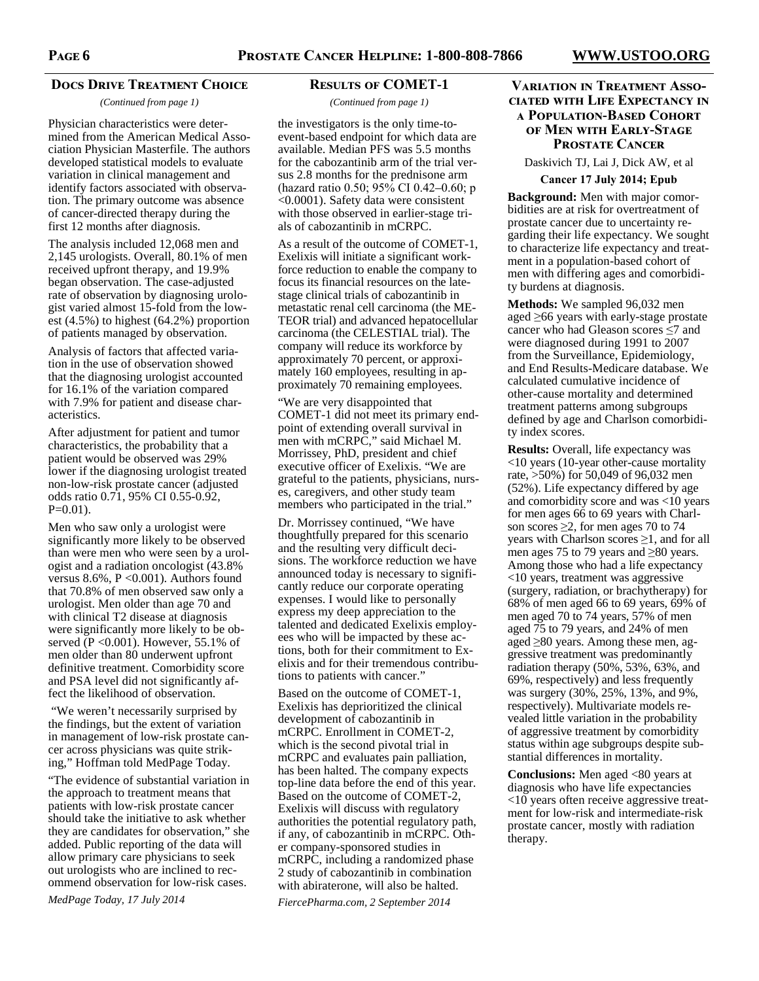# **DOCS DRIVE TREATMENT CHOICE**

*(Continued from page 1)* 

Physician characteristics were determined from the American Medical Association Physician Masterfile. The authors developed statistical models to evaluate variation in clinical management and identify factors associated with observation. The primary outcome was absence of cancer-directed therapy during the first 12 months after diagnosis.

The analysis included 12,068 men and 2,145 urologists. Overall, 80.1% of men received upfront therapy, and 19.9% began observation. The case-adjusted rate of observation by diagnosing urologist varied almost 15-fold from the lowest (4.5%) to highest (64.2%) proportion of patients managed by observation.

Analysis of factors that affected variation in the use of observation showed that the diagnosing urologist accounted for 16.1% of the variation compared with 7.9% for patient and disease characteristics.

After adjustment for patient and tumor characteristics, the probability that a patient would be observed was 29% lower if the diagnosing urologist treated non-low-risk prostate cancer (adjusted odds ratio 0.71, 95% CI 0.55-0.92,  $P=0.01$ ).

Men who saw only a urologist were significantly more likely to be observed than were men who were seen by a urologist and a radiation oncologist (43.8% versus  $8.6\%$ ,  $P < 0.001$ ). Authors found that 70.8% of men observed saw only a urologist. Men older than age 70 and with clinical T2 disease at diagnosis were significantly more likely to be observed (P <0.001). However, 55.1% of men older than 80 underwent upfront definitive treatment. Comorbidity score and PSA level did not significantly affect the likelihood of observation.

 "We weren't necessarily surprised by the findings, but the extent of variation in management of low-risk prostate cancer across physicians was quite striking," Hoffman told MedPage Today.

"The evidence of substantial variation in the approach to treatment means that patients with low-risk prostate cancer should take the initiative to ask whether they are candidates for observation," she added. Public reporting of the data will allow primary care physicians to seek out urologists who are inclined to recommend observation for low-risk cases.

*MedPage Today, 17 July 2014* 

# **RESULTS OF COMET-1**

#### *(Continued from page 1)*

the investigators is the only time-toevent-based endpoint for which data are available. Median PFS was 5.5 months for the cabozantinib arm of the trial versus 2.8 months for the prednisone arm (hazard ratio 0.50; 95% CI 0.42–0.60; p <0.0001). Safety data were consistent with those observed in earlier-stage trials of cabozantinib in mCRPC.

As a result of the outcome of COMET-1, Exelixis will initiate a significant workforce reduction to enable the company to focus its financial resources on the latestage clinical trials of cabozantinib in metastatic renal cell carcinoma (the ME-TEOR trial) and advanced hepatocellular carcinoma (the CELESTIAL trial). The company will reduce its workforce by approximately 70 percent, or approximately 160 employees, resulting in approximately 70 remaining employees.

"We are very disappointed that COMET-1 did not meet its primary endpoint of extending overall survival in men with mCRPC," said Michael M. Morrissey, PhD, president and chief executive officer of Exelixis. "We are grateful to the patients, physicians, nurses, caregivers, and other study team members who participated in the trial."

Dr. Morrissey continued, "We have thoughtfully prepared for this scenario and the resulting very difficult decisions. The workforce reduction we have announced today is necessary to significantly reduce our corporate operating expenses. I would like to personally express my deep appreciation to the talented and dedicated Exelixis employees who will be impacted by these actions, both for their commitment to Exelixis and for their tremendous contributions to patients with cancer."

Based on the outcome of COMET-1, Exelixis has deprioritized the clinical development of cabozantinib in mCRPC. Enrollment in COMET-2, which is the second pivotal trial in mCRPC and evaluates pain palliation, has been halted. The company expects top-line data before the end of this year. Based on the outcome of COMET-2, Exelixis will discuss with regulatory authorities the potential regulatory path, if any, of cabozantinib in mCRPC. Other company-sponsored studies in mCRPC, including a randomized phase 2 study of cabozantinib in combination with abiraterone, will also be halted.

*FiercePharma.com, 2 September 2014* 

# **VARIATION IN TREATMENT ASSO-CIATED WITH LIFE EXPECTANCY IN A POPULATION-BASED COHORT OF MEN WITH EARLY-STAGE PROSTATE CANCER**

Daskivich TJ, Lai J, Dick AW, et al **Cancer 17 July 2014; Epub** 

**Background:** Men with major comorbidities are at risk for overtreatment of prostate cancer due to uncertainty regarding their life expectancy. We sought to characterize life expectancy and treatment in a population-based cohort of men with differing ages and comorbidity burdens at diagnosis.

**Methods:** We sampled 96,032 men aged ≥66 years with early-stage prostate cancer who had Gleason scores ≤7 and were diagnosed during 1991 to 2007 from the Surveillance, Epidemiology, and End Results-Medicare database. We calculated cumulative incidence of other-cause mortality and determined treatment patterns among subgroups defined by age and Charlson comorbidity index scores.

**Results:** Overall, life expectancy was <10 years (10-year other-cause mortality rate, >50%) for 50,049 of 96,032 men (52%). Life expectancy differed by age and comorbidity score and was <10 years for men ages 66 to 69 years with Charlson scores  $\geq$ 2, for men ages 70 to 74 years with Charlson scores  $\geq 1$ , and for all men ages 75 to 79 years and ≥80 years. Among those who had a life expectancy <10 years, treatment was aggressive (surgery, radiation, or brachytherapy) for 68% of men aged 66 to 69 years, 69% of men aged 70 to 74 years, 57% of men aged 75 to 79 years, and 24% of men aged ≥80 years. Among these men, aggressive treatment was predominantly radiation therapy (50%, 53%, 63%, and 69%, respectively) and less frequently was surgery (30%, 25%, 13%, and 9%, respectively). Multivariate models revealed little variation in the probability of aggressive treatment by comorbidity status within age subgroups despite substantial differences in mortality.

**Conclusions:** Men aged <80 years at diagnosis who have life expectancies <10 years often receive aggressive treatment for low-risk and intermediate-risk prostate cancer, mostly with radiation therapy.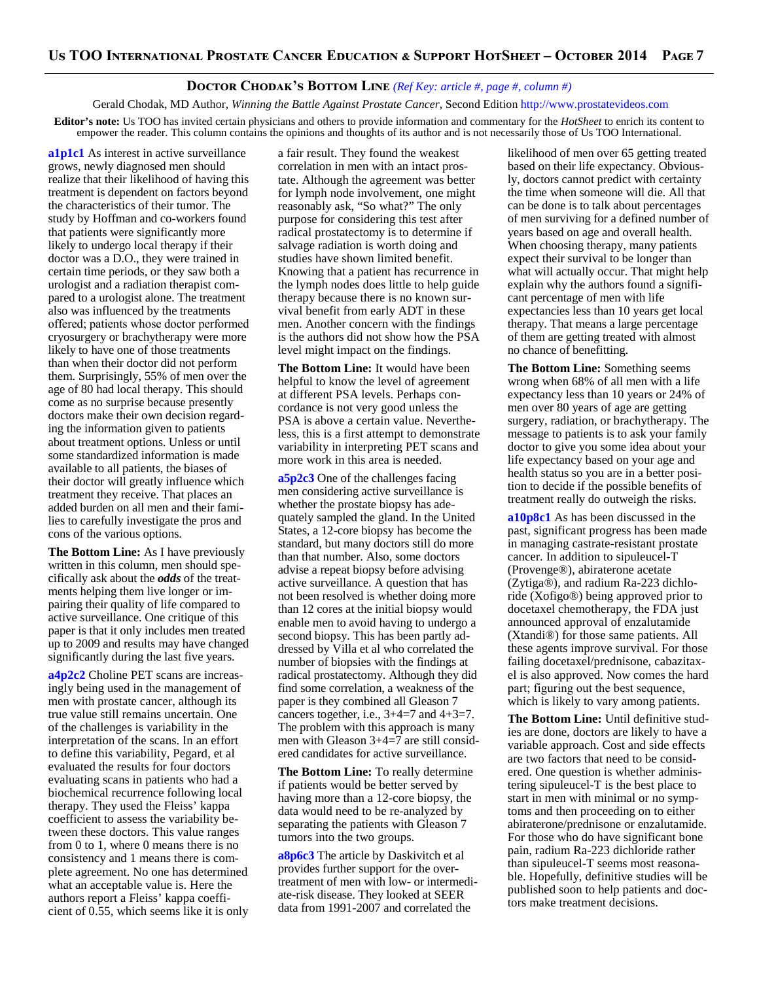# **DOCTOR CHODAK'S BOTTOM LINE** (Ref Key: article #, page #, column #)

Gerald Chodak, MD Author, *Winning the Battle Against Prostate Cancer*, Second Edition http://www.prostatevideos.com

**Editor's note:** Us TOO has invited certain physicians and others to provide information and commentary for the *HotSheet* to enrich its content to empower the reader. This column contains the opinions and thoughts of its author and is not necessarily those of Us TOO International.

**a1p1c1** As interest in active surveillance grows, newly diagnosed men should realize that their likelihood of having this treatment is dependent on factors beyond the characteristics of their tumor. The study by Hoffman and co-workers found that patients were significantly more likely to undergo local therapy if their doctor was a D.O., they were trained in certain time periods, or they saw both a urologist and a radiation therapist compared to a urologist alone. The treatment also was influenced by the treatments offered; patients whose doctor performed cryosurgery or brachytherapy were more likely to have one of those treatments than when their doctor did not perform them. Surprisingly, 55% of men over the age of 80 had local therapy. This should come as no surprise because presently doctors make their own decision regarding the information given to patients about treatment options. Unless or until some standardized information is made available to all patients, the biases of their doctor will greatly influence which treatment they receive. That places an added burden on all men and their families to carefully investigate the pros and cons of the various options.

**The Bottom Line:** As I have previously written in this column, men should specifically ask about the *odds* of the treatments helping them live longer or impairing their quality of life compared to active surveillance. One critique of this paper is that it only includes men treated up to 2009 and results may have changed significantly during the last five years.

**a4p2c2** Choline PET scans are increasingly being used in the management of men with prostate cancer, although its true value still remains uncertain. One of the challenges is variability in the interpretation of the scans. In an effort to define this variability, Pegard, et al evaluated the results for four doctors evaluating scans in patients who had a biochemical recurrence following local therapy. They used the Fleiss' kappa coefficient to assess the variability between these doctors. This value ranges from 0 to 1, where 0 means there is no consistency and 1 means there is complete agreement. No one has determined what an acceptable value is. Here the authors report a Fleiss' kappa coefficient of 0.55, which seems like it is only a fair result. They found the weakest correlation in men with an intact prostate. Although the agreement was better for lymph node involvement, one might reasonably ask, "So what?" The only purpose for considering this test after radical prostatectomy is to determine if salvage radiation is worth doing and studies have shown limited benefit. Knowing that a patient has recurrence in the lymph nodes does little to help guide therapy because there is no known survival benefit from early ADT in these men. Another concern with the findings is the authors did not show how the PSA level might impact on the findings.

**The Bottom Line:** It would have been helpful to know the level of agreement at different PSA levels. Perhaps concordance is not very good unless the PSA is above a certain value. Nevertheless, this is a first attempt to demonstrate variability in interpreting PET scans and more work in this area is needed.

**a5p2c3** One of the challenges facing men considering active surveillance is whether the prostate biopsy has adequately sampled the gland. In the United States, a 12-core biopsy has become the standard, but many doctors still do more than that number. Also, some doctors advise a repeat biopsy before advising active surveillance. A question that has not been resolved is whether doing more than 12 cores at the initial biopsy would enable men to avoid having to undergo a second biopsy. This has been partly addressed by Villa et al who correlated the number of biopsies with the findings at radical prostatectomy. Although they did find some correlation, a weakness of the paper is they combined all Gleason 7 cancers together, i.e.,  $3+4=7$  and  $4+3=7$ . The problem with this approach is many men with Gleason 3+4=7 are still considered candidates for active surveillance.

**The Bottom Line:** To really determine if patients would be better served by having more than a 12-core biopsy, the data would need to be re-analyzed by separating the patients with Gleason 7 tumors into the two groups.

**a8p6c3** The article by Daskivitch et al provides further support for the overtreatment of men with low- or intermediate-risk disease. They looked at SEER data from 1991-2007 and correlated the

likelihood of men over 65 getting treated based on their life expectancy. Obviously, doctors cannot predict with certainty the time when someone will die. All that can be done is to talk about percentages of men surviving for a defined number of years based on age and overall health. When choosing therapy, many patients expect their survival to be longer than what will actually occur. That might help explain why the authors found a significant percentage of men with life expectancies less than 10 years get local therapy. That means a large percentage of them are getting treated with almost no chance of benefitting.

**The Bottom Line:** Something seems wrong when 68% of all men with a life expectancy less than 10 years or 24% of men over 80 years of age are getting surgery, radiation, or brachytherapy. The message to patients is to ask your family doctor to give you some idea about your life expectancy based on your age and health status so you are in a better position to decide if the possible benefits of treatment really do outweigh the risks.

**a10p8c1** As has been discussed in the past, significant progress has been made in managing castrate-resistant prostate cancer. In addition to sipuleucel-T (Provenge®), abiraterone acetate (Zytiga®), and radium Ra-223 dichloride (Xofigo®) being approved prior to docetaxel chemotherapy, the FDA just announced approval of enzalutamide (Xtandi®) for those same patients. All these agents improve survival. For those failing docetaxel/prednisone, cabazitaxel is also approved. Now comes the hard part; figuring out the best sequence, which is likely to vary among patients.

**The Bottom Line:** Until definitive studies are done, doctors are likely to have a variable approach. Cost and side effects are two factors that need to be considered. One question is whether administering sipuleucel-T is the best place to start in men with minimal or no symptoms and then proceeding on to either abiraterone/prednisone or enzalutamide. For those who do have significant bone pain, radium Ra-223 dichloride rather than sipuleucel-T seems most reasonable. Hopefully, definitive studies will be published soon to help patients and doctors make treatment decisions.